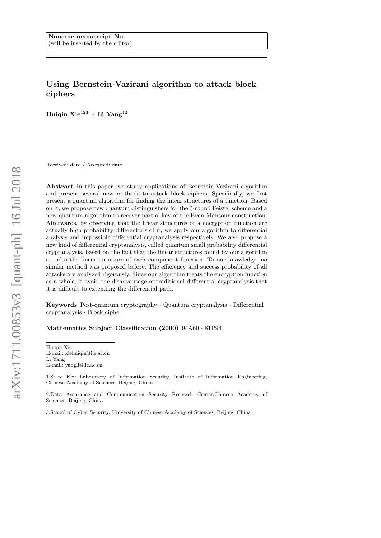# Using Bernstein-Vazirani algorithm to attack block ciphers

Huiqin Xi $\rm e^{123}$  · Li Yang $^{12}$ 

Received: date / Accepted: date

Abstract In this paper, we study applications of Bernstein-Vazirani algorithm and present several new methods to attack block ciphers. Specifically, we first present a quantum algorithm for finding the linear structures of a function. Based on it, we propose new quantum distinguishers for the 3-round Feistel scheme and a new quantum algorithm to recover partial key of the Even-Mansour construction. Afterwards, by observing that the linear structures of a encryption function are actually high probability differentials of it, we apply our algorithm to differential analysis and impossible differential cryptanalysis respectively. We also propose a new kind of differential cryptanalysis, called quantum small probability differential cryptanalysis, based on the fact that the linear structures found by our algorithm are also the linear structure of each component function. To our knowledge, no similar method was proposed before. The efficiency and success probability of all attacks are analyzed rigorously. Since our algorithm treats the encryption function as a whole, it avoid the disadvantage of traditional differential cryptanalysis that it is difficult to extending the differential path.

Keywords Post-quantum cryptography · Quantum cryptanalysis · Differential cryptanalysis · Block cipher

# Mathematics Subject Classification (2000) 94A60 · 81P94

Huiqin Xie E-mail: xiehuiqin@iie.ac.cn Li Yang E-mail: yangli@iie.ac.cn

1.State Key Laboratory of Information Security, Institute of Information Engineering, Chinese Academy of Sciences, Beijing, China

2.Data Assurance and Communication Security Research Center,Chinese Academy of Sciences, Beijing, China

3.School of Cyber Security, University of Chinese Academy of Sciences, Beijing, China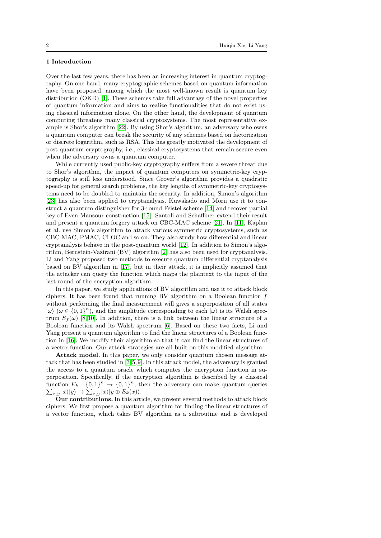# 1 Introduction

Over the last few years, there has been an increasing interest in quantum cryptography. On one hand, many cryptographic schemes based on quantum information have been proposed, among which the most well-known result is quantum key distribution (OKD) [\[1\]](#page-20-0). These schemes take full advantage of the novel properties of quantum information and aims to realize functionalities that do not exist using classical information alone. On the other hand, the development of quantum computing threatens many classical cryptosystems. The most representative example is Shor's algorithm [\[22\]](#page-21-0). By using Shor's algorithm, an adversary who owns a quantum computer can break the security of any schemes based on factorization or discrete logarithm, such as RSA. This has greatly motivated the development of post-quantum cryptography, i.e., classical cryptosystems that remain secure even when the adversary owns a quantum computer.

While currently used public-key cryptography suffers from a severe threat due to Shor's algorithm, the impact of quantum computers on symmetric-key cryptography is still less understood. Since Grover's algorithm provides a quadratic speed-up for general search problems, the key lengths of symmetric-key cryptosystems need to be doubled to maintain the security. In addition, Simon's algorithm [\[23\]](#page-21-1) has also been applied to cryptanalysis. Kuwakado and Morii use it to construct a quantum distinguisher for 3-round Feistel scheme [\[14\]](#page-21-2) and recover partial key of Even-Mansour construction [\[15\]](#page-21-3). Santoli and Schaffiner extend their result and present a quantum forgery attack on CBC-MAC scheme [\[21\]](#page-21-4). In [\[11\]](#page-21-5), Kaplan et al. use Simon's algorithm to attack various symmetric cryptosystems, such as CBC-MAC, PMAC, CLOC and so on. They also study how differential and linear cryptanalysis behave in the post-quantum world [\[12\]](#page-21-6). In addition to Simon's algorithm, Bernstein-Vazirani (BV) algorithm [\[2\]](#page-20-1) has also been used for cryptanalysis. Li and Yang proposed two methods to execute quantum differential cryptanalysis based on BV algorithm in [\[17\]](#page-21-7), but in their attack, it is implicitly assumed that the attacker can query the function which maps the plaintext to the input of the last round of the encryption algorithm.

In this paper, we study applications of BV algorithm and use it to attack block ciphers. It has been found that running BV algorithm on a Boolean function  $f$ without performing the final measurement will gives a superposition of all states  $|\omega\rangle$  ( $\omega \in \{0,1\}^n$ ), and the amplitude corresponding to each  $|\omega\rangle$  is its Walsh spectrum  $S_f(\omega)$  [\[8,](#page-21-8)[10\]](#page-21-9). In addition, there is a link between the linear structure of a Boolean function and its Walsh spectrum [\[6\]](#page-20-2). Based on these two facts, Li and Yang present a quantum algorithm to find the linear structures of a Boolean function in [\[16\]](#page-21-10). We modify their algorithm so that it can find the linear structures of a vector function. Our attack strategies are all built on this modified algorithm.

Attack model. In this paper, we only consider quantum chosen message attack that has been studied in [\[3,](#page-20-3) [5,](#page-20-4) [9\]](#page-21-11). In this attack model, the adversary is granted the access to a quantum oracle which computes the encryption function in superposition. Specifically, if the encryption algorithm is described by a classical function  $E_k: \{0,1\}^n \to \{0,1\}^n$ , then the adversary can make quantum queries  $\sum_{x,y} |x\rangle |y\rangle \rightarrow \sum_{x,y} |x\rangle |y \oplus E_k(x)\rangle.$ 

Our contributions. In this article, we present several methods to attack block ciphers. We first propose a quantum algorithm for finding the linear structures of a vector function, which takes BV algorithm as a subroutine and is developed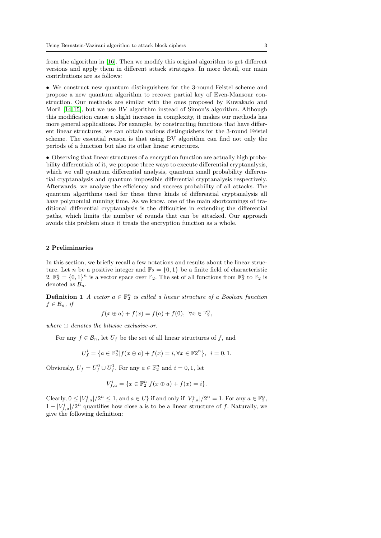from the algorithm in [\[16\]](#page-21-10). Then we modify this original algorithm to get different versions and apply them in different attack strategies. In more detail, our main contributions are as follows:

• We construct new quantum distinguishers for the 3-round Feistel scheme and propose a new quantum algorithm to recover partial key of Even-Mansour construction. Our methods are similar with the ones proposed by Kuwakado and Morii [\[14,](#page-21-2) [15\]](#page-21-3), but we use BV algorithm instead of Simon's algorithm. Although this modification cause a slight increase in complexity, it makes our methods has more general applications. For example, by constructing functions that have different linear structures, we can obtain various distinguishers for the 3-round Feistel scheme. The essential reason is that using BV algorithm can find not only the periods of a function but also its other linear structures.

• Observing that linear structures of a encryption function are actually high probability differentials of it, we propose three ways to execute differential cryptanalysis, which we call quantum differential analysis, quantum small probability differential cryptanalysis and quantum impossible differential cryptanalysis respectively. Afterwards, we analyze the efficiency and success probability of all attacks. The quantum algorithms used for these three kinds of differential cryptanalysis all have polynomial running time. As we know, one of the main shortcomings of traditional differential cryptanalysis is the difficulties in extending the differential paths, which limits the number of rounds that can be attacked. Our approach avoids this problem since it treats the encryption function as a whole.

# 2 Preliminaries

In this section, we briefly recall a few notations and results about the linear structure. Let *n* be a positive integer and  $\mathbb{F}_2 = \{0, 1\}$  be a finite field of characteristic 2.  $\mathbb{F}_2^n = \{0,1\}^n$  is a vector space over  $\mathbb{F}_2$ . The set of all functions from  $\mathbb{F}_2^n$  to  $\mathbb{F}_2$  is denoted as  $\mathcal{B}_n$ .

**Definition 1** A vector  $a \in \mathbb{F}_2^n$  is called a linear structure of a Boolean function  $f \in \mathcal{B}_n$ , if

$$
f(x \oplus a) + f(x) = f(a) + f(0), \ \forall x \in \mathbb{F}_2^n,
$$

where  $\oplus$  denotes the bitwise exclusive-or.

For any  $f \in \mathcal{B}_n$ , let  $U_f$  be the set of all linear structures of f, and

$$
U_f^i = \{ a \in \mathbb{F}_2^n | f(x \oplus a) + f(x) = i, \forall x \in \mathbb{F}_2^{n} \}, \ i = 0, 1.
$$

Obviously,  $U_f = U_f^0 \cup U_f^1$ . For any  $a \in \mathbb{F}_2^n$  and  $i = 0, 1$ , let

$$
V_{f,a}^{i} = \{ x \in \mathbb{F}_{2}^{n} | f(x \oplus a) + f(x) = i \}.
$$

Clearly,  $0 \leq |V_{f,a}^i|/2^n \leq 1$ , and  $a \in U_f^i$  if and only if  $|V_{f,a}^i|/2^n = 1$ . For any  $a \in \mathbb{F}_2^n$ ,  $1 - |V_{f,a}^i|/2^n$  quantifies how close a is to be a linear structure of f. Naturally, we give the following definition: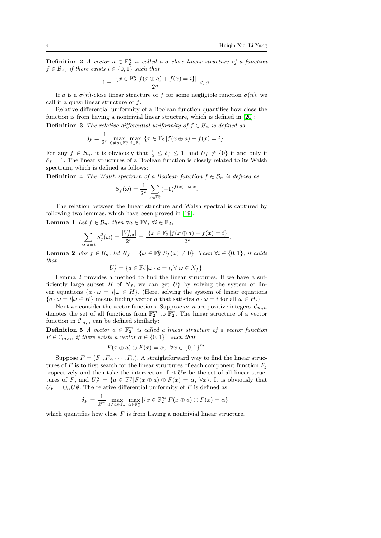**Definition 2** A vector  $a \in \mathbb{F}_2^n$  is called a  $\sigma$ -close linear structure of a function  $f \in \mathcal{B}_n$ , if there exists  $i \in \{0,1\}$  such that

$$
1 - \frac{|\{x \in \mathbb{F}_2^n | f(x \oplus a) + f(x) = i\}|}{2^n} < \sigma.
$$

If a is a  $\sigma(n)$ -close linear structure of f for some negligible function  $\sigma(n)$ , we call it a quasi linear structure of f.

Relative differential uniformity of a Boolean function quantifies how close the function is from having a nontrivial linear structure, which is defined in [\[20\]](#page-21-12): **Definition 3** The relative differential uniformity of  $f \in \mathcal{B}_n$  is defined as

$$
\delta_f = \frac{1}{2^n} \max_{0 \neq a \in \mathbb{F}_2^n} \max_{i \in \mathbb{F}_2} |\{x \in \mathbb{F}_2^n | f(x \oplus a) + f(x) = i\}|.
$$

For any  $f \in \mathcal{B}_n$ , it is obviously that  $\frac{1}{2} \leq \delta_f \leq 1$ , and  $U_f \neq \{0\}$  if and only if  $\delta_f = 1$ . The linear structures of a Boolean function is closely related to its Walsh spectrum, which is defined as follows:

**Definition 4** The Walsh spectrum of a Boolean function  $f \in \mathcal{B}_n$  is defined as

$$
S_f(\omega) = \frac{1}{2^n} \sum_{x \in \mathbb{F}_2^n} (-1)^{f(x) + \omega \cdot x}
$$

.

.

The relation between the linear structure and Walsh spectral is captured by following two lemmas, which have been proved in [\[19\]](#page-21-13).

**Lemma 1** Let  $f \in \mathcal{B}_n$ , then  $\forall a \in \mathbb{F}_2^n$ ,  $\forall i \in \mathbb{F}_2$ ,

$$
\sum_{\omega \cdot a = i} S_f^2(\omega) = \frac{|V_{f,a}^i|}{2^n} = \frac{|\{x \in \mathbb{F}_2^n | f(x \oplus a) + f(x) = i\}|}{2^n}
$$

**Lemma 2** For  $f \in \mathcal{B}_n$ , let  $N_f = {\omega \in \mathbb{F}_2^n | S_f(\omega) \neq 0}$ . Then  $\forall i \in \{0, 1\}$ , it holds that

$$
U_f^i = \{ a \in \mathbb{F}_2^n | \omega \cdot a = i, \forall \ \omega \in N_f \}.
$$

Lemma 2 provides a method to find the linear structures. If we have a sufficiently large subset H of  $N_f$ , we can get  $U_f^i$  by solving the system of linear equations  $\{a \cdot \omega = i | \omega \in H\}$ . (Here, solving the system of linear equations  ${a \cdot \omega = i | \omega \in H}$  means finding vector a that satisfies  $a \cdot \omega = i$  for all  $\omega \in H$ .

Next we consider the vector functions. Suppose  $m, n$  are positive integers.  $\mathcal{C}_{m,n}$ denotes the set of all functions from  $\mathbb{F}_2^m$  to  $\mathbb{F}_2^n$ . The linear structure of a vector function in  $\mathcal{C}_{m,n}$  can be defined similarly:

**Definition 5** A vector  $a \in \mathbb{F}_2^m$  is called a linear structure of a vector function  $F \in \mathcal{C}_{m,n}$ , if there exists a vector  $\alpha \in \{0,1\}^n$  such that

$$
F(x \oplus a) \oplus F(x) = \alpha, \ \forall x \in \{0,1\}^m.
$$

Suppose  $F = (F_1, F_2, \cdots, F_n)$ . A straightforward way to find the linear structures of F is to first search for the linear structures of each component function  $F_i$ respectively and then take the intersection. Let  $U_F$  be the set of all linear structures of F, and  $U_F^{\alpha} = \{a \in \mathbb{F}_2^n | F(x \oplus a) \oplus F(x) = \alpha, \forall x\}.$  It is obviously that  $U_F = \cup_{\alpha} U_F^{\alpha}$ . The relative differential uniformity of F is defined as

$$
\delta_F = \frac{1}{2^m} \max_{0 \neq a \in \mathbb{F}_2^m} \max_{\alpha \in \mathbb{F}_2^n} |\{x \in \mathbb{F}_2^m | F(x \oplus a) \oplus F(x) = \alpha\}|,
$$

which quantifies how close  $F$  is from having a nontrivial linear structure.

 $\delta$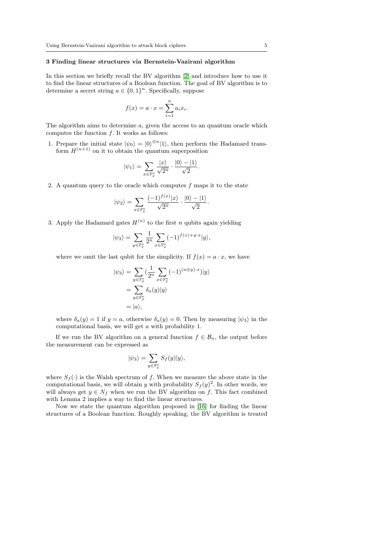# 3 Finding linear structures via Bernstein-Vazirani algorithm

In this section we briefly recall the BV algorithm [\[2\]](#page-20-1) and introduce how to use it to find the linear structures of a Boolean function. The goal of BV algorithm is to determine a secret string  $a \in \{0,1\}^n$ . Specifically, suppose

$$
f(x) = a \cdot x = \sum_{i=1}^{n} a_i x_i.
$$

The algorithm aims to determine  $a$ , given the access to an quantum oracle which computes the function  $f$ . It works as follows:

1. Prepare the initial state  $|\psi_0\rangle = |0\rangle^{\otimes n}|1\rangle$ , then perform the Hadamard transform  $H^{(n+1)}$  on it to obtain the quantum superposition

$$
|\psi_1\rangle = \sum_{x \in \mathbb{F}_2^n} \frac{|x\rangle}{\sqrt{2^n}} \cdot \frac{|0\rangle - |1\rangle}{\sqrt{2}}.
$$

2. A quantum query to the oracle which computes  $f$  maps it to the state

$$
|\psi_2\rangle = \sum_{x \in \mathbb{F}_2^n} \frac{(-1)^{f(x)}|x\rangle}{\sqrt{2^n}} \cdot \frac{|0\rangle - |1\rangle}{\sqrt{2}}.
$$

3. Apply the Hadamard gates  $H^{(n)}$  to the first n qubits again yielding

$$
|\psi_3\rangle=\sum_{y\in\mathbb{F}_2^n}\frac{1}{2^n}\sum_{x\in\mathbb{F}_2^n}(-1)^{f(x)+y\cdot x}|y\rangle,
$$

where we omit the last qubit for the simplicity. If  $f(x) = a \cdot x$ , we have

$$
|\psi_3\rangle = \sum_{y \in \mathbb{F}_2^n} \left(\frac{1}{2^n} \sum_{x \in \mathbb{F}_2^n} (-1)^{(a \oplus y) \cdot x}\right)|y\rangle
$$
  
= 
$$
\sum_{y \in \mathbb{F}_2^n} \delta_a(y)|y\rangle
$$
  
=  $|a\rangle$ ,

where  $\delta_a(y) = 1$  if  $y = a$ , otherwise  $\delta_a(y) = 0$ . Then by measuring  $|\psi_3\rangle$  in the computational basis, we will get a with probability 1.

If we run the BV algorithm on a general function  $f \in \mathcal{B}_n$ , the output before the measurement can be expressed as

$$
|\psi_3\rangle=\sum_{y\in\mathbb{F}_2^n}S_f(y)|y\rangle,
$$

where  $S_f(\cdot)$  is the Walsh spectrum of f. When we measure the above state in the computational basis, we will obtain y with probability  $S_f(y)^2$ . In other words, we will always get  $y \in N_f$  when we run the BV algorithm on f. This fact combined with Lemma 2 implies a way to find the linear structures.

Now we state the quantum algorithm proposed in [\[16\]](#page-21-10) for finding the linear structures of a Boolean function. Roughly speaking, the BV algorithm is treated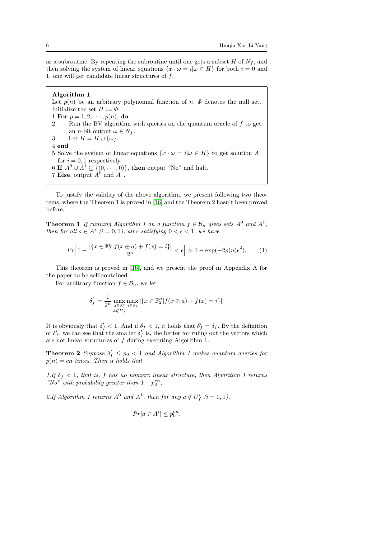as a subroutine. By repeating the subroutine until one gets a subset  $H$  of  $N_f$ , and then solving the system of linear equations  $\{x \cdot \omega = i | \omega \in H\}$  for both  $i = 0$  and 1, one will get candidate linear structures of f.

# Algorithm 1

Let  $p(n)$  be an arbitrary polynomial function of n.  $\Phi$  denotes the null set. Initialize the set  $H := \Phi$ . 1 For  $p = 1, 2, \dots, p(n)$ , do 2 Run the BV algorithm with queries on the quantum oracle of  $f$  to get an *n*-bit output  $\omega \in N_f$ . 3 Let  $H = H \cup \{\omega\}.$ 4 end 5 Solve the system of linear equations  $\{x \cdot \omega = i | \omega \in H\}$  to get solution  $A^i$ for  $i = 0, 1$  respectively. 6 If  $A^0 \cup A^1 \subseteq \{(0, \dots, 0)\}\)$ , then output "No" and halt. 7 Else, output  $A^0$  and  $A^1$ .

To justify the validity of the above algorithm, we present following two theorems, where the Theorem 1 is proved in [\[16\]](#page-21-10) and the Theorem 2 hasn't been proved before.

**Theorem 1** If running Algorithm 1 on a function  $f \in \mathcal{B}_n$  gives sets  $A^0$  and  $A^1$ , then for all  $a \in A^i$   $(i = 0, 1)$ , all  $\epsilon$  satisfying  $0 < \epsilon < 1$ , we have

$$
Pr\Big[1 - \frac{|\{x \in \mathbb{F}_2^n | f(x \oplus a) + f(x) = i\}|}{2^n} < \epsilon\Big] > 1 - \exp(-2p(n)\epsilon^2). \tag{1}
$$

This theorem is proved in [\[16\]](#page-21-10), and we present the proof in Appendix A for the paper to be self-contained.

For arbitrary function  $f \in \mathcal{B}_n$ , we let

$$
\delta'_f = \frac{1}{2^n} \max_{\substack{a \in \mathbb{F}_2^n \\ a \notin U_f}} \max_{i \in \mathbb{F}_2} |\{x \in \mathbb{F}_2^n | f(x \oplus a) + f(x) = i\}|.
$$

It is obviously that  $\delta'_f < 1$ . And if  $\delta_f < 1$ , it holds that  $\delta'_f = \delta_f$ . By the definition of  $\delta'_{f}$ , we can see that the smaller  $\delta'_{f}$  is, the better for ruling out the vectors which are not linear structures of f during executing Algorithm 1.

**Theorem 2** Suppose  $\delta'_f \leq p_0 < 1$  and Algorithm 1 makes quantum queries for  $p(n) = cn$  times. Then it holds that

1.If  $\delta_f$  < 1, that is, f has no nonzero linear structure, then Algorithm 1 returns "No" with probability greater than  $1 - p_0^{cn}$ ;

2.If Algorithm 1 returns  $A^0$  and  $A^1$ , then for any  $a \notin U_f^i$   $(i = 0, 1)$ ,

$$
Pr[a \in A^i] \le p_0^{cn}.
$$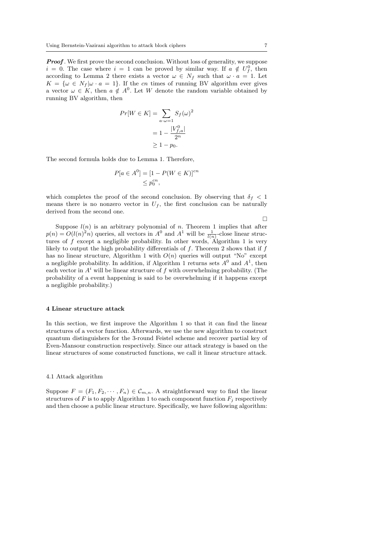**Proof.** We first prove the second conclusion. Without loss of generality, we suppose  $i = 0$ . The case where  $i = 1$  can be proved by similar way. If  $a \notin U_f^0$ , then according to Lemma 2 there exists a vector  $\omega \in N_f$  such that  $\omega \cdot a = 1$ . Let  $K = \{\omega \in N_f | \omega \cdot a = 1\}.$  If the cn times of running BV algorithm ever gives a vector  $\omega \in K$ , then  $a \notin A^0$ . Let W denote the random variable obtained by running BV algorithm, then

$$
Pr[W \in K] = \sum_{a \cdot \omega = 1} S_f(\omega)^2
$$

$$
= 1 - \frac{|V_{f,a}^0|}{2^n}
$$

$$
\geq 1 - p_0.
$$

The second formula holds due to Lemma 1. Therefore,

$$
P[a \in A^0] = [1 - P(W \in K)]^{cn}
$$
  

$$
\leq p_0^{cn},
$$

which completes the proof of the second conclusion. By observing that  $\delta_f$  < 1 means there is no nonzero vector in  $U_f$ , the first conclusion can be naturally derived from the second one.

Suppose  $l(n)$  is an arbitrary polynomial of n. Theorem 1 implies that after  $p(n) = O(l(n)^2 n)$  queries, all vectors in  $A^0$  and  $A^1$  will be  $\frac{1}{l(n)}$ -close linear structures of  $f$  except a negligible probability. In other words, Algorithm 1 is very likely to output the high probability differentials of  $f$ . Theorem 2 shows that if  $f$ has no linear structure, Algorithm 1 with  $O(n)$  queries will output "No" except

a negligible probability. In addition, if Algorithm 1 returns sets  $A^0$  and  $A^1$ , then each vector in  $A^i$  will be linear structure of f with overwhelming probability. (The probability of a event happening is said to be overwhelming if it happens except a negligible probability.)

#### 4 Linear structure attack

In this section, we first improve the Algorithm 1 so that it can find the linear structures of a vector function. Afterwards, we use the new algorithm to construct quantum distinguishers for the 3-round Feistel scheme and recover partial key of Even-Mansour construction respectively. Since our attack strategy is based on the linear structures of some constructed functions, we call it linear structure attack.

## 4.1 Attack algorithm

Suppose  $F = (F_1, F_2, \dots, F_n) \in \mathcal{C}_{m,n}$ . A straightforward way to find the linear structures of F is to apply Algorithm 1 to each component function  $F_i$  respectively and then choose a public linear structure. Specifically, we have following algorithm:

 $\Box$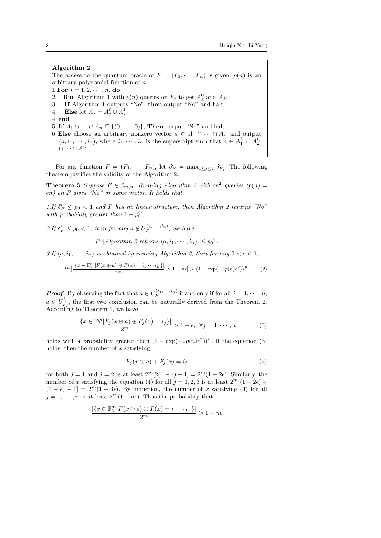# Algorithm 2

The access to the quantum oracle of  $F = (F_1, \dots, F_n)$  is given.  $p(n)$  is an arbitrary polynomial function of n. 1 For  $j = 1, 2, \dots, n$ , do

- 2 Run Algorithm 1 with  $p(n)$  queries on  $F_j$  to get  $A_j^0$  and  $A_j^1$ .
- 3 If Algorithm 1 outputs "No", then output "No" and halt.
- 4 Else let  $A_j = A_j^0 \cup A_j^1$ .
- 4 end
- 5 If  $A_1 \cap \cdots \cap A_n \subseteq \{(0, \cdots, 0)\}\)$ , Then output "No" and halt.
- 6 Else choose an arbitrary nonzero vector  $a \in A_1 \cap \cdots \cap A_n$  and output  $(a, i_1, \dots, i_n)$ , where  $i_1, \dots, i_n$  is the superscript such that  $a \in A_1^{i_1} \cap A_2^{i_2}$  $\cap \cdots \cap A_n^{i_n}.$

For any function  $F = (F_1, \dots, F_n)$ , let  $\delta'_F = \max_{1 \leq j \leq n} \delta'_{F_j}$ . The following theorem justifies the validity of the Algorithm 2.

**Theorem 3** Suppose  $F \in \mathcal{C}_{m,n}$ . Running Algorithm 2 with cn<sup>2</sup> queries (p(n) = cn) on F gives "No" or some vector. It holds that

1.If  $\delta'_F \leq p_0 < 1$  and F has no linear structure, then Algorithm 2 returns "No" with probability greater than  $1 - p_0^{cn}$ .

2.If  $\delta'_F \leq p_0 < 1$ , then for any  $a \notin U_F^{(i_1, \dots, i_n)}$ , we have

 $Pr[Algorithm 2 returns (a, i_1, \dots, i_n)] \leq p_0^{cn}$ .

3.If  $(a, i_1, \dots, i_n)$  is obtained by running Algorithm 2, then for any  $0 < \epsilon < 1$ ,

$$
Pr\left[\frac{|\{x \in \mathbb{F}_2^m | F(x \oplus a) \oplus F(x) = i_1 \cdots i_n\}|}{2^m} > 1 - n\epsilon\right] > \left(1 - \exp(-2p(n)\epsilon^2)\right)^n. \tag{2}
$$

**Proof**. By observing the fact that  $a \in U_F^{(i_1, \dots, i_n)}$  if and only if for all  $j = 1, \dots, n$ ,  $a \in U_F^{i_j}$  $F_j^{i_j}$ , the first two conclusion can be naturally derived from the Theorem 2. According to Theorem 1, we have

$$
\frac{|\{x \in \mathbb{F}_2^m | F_j(x \oplus a) \oplus F_j(x) = i_j\}|}{2^m} > 1 - \epsilon, \ \forall j = 1, \cdots, n
$$
 (3)

holds with a probability greater than  $(1 - \exp(-2p(n)\epsilon^2))^n$ . If the equation (3) holds, then the number of  $x$  satisfying

$$
F_j(x \oplus a) + F_j(x) = i_j \tag{4}
$$

for both  $j = 1$  and  $j = 2$  is at least  $2^m[2(1 - \epsilon) - 1] = 2^m(1 - 2\epsilon)$ . Similarly, the number of x satisfying the equation (4) for all  $j = 1, 2, 3$  is at least  $2^m[(1 - 2\epsilon) +$  $(1 - \epsilon) - 1$ ] =  $2^m(1 - 3\epsilon)$ . By induction, the number of x satisfying (4) for all  $j = 1, \dots, n$  is at least  $2^m(1 - n\epsilon)$ . Thus the probability that

$$
\frac{|\{x \in \mathbb{F}_2^m | F(x \oplus a) \oplus F(x) = i_1 \cdots i_n\}|}{2^m} > 1 - n\epsilon
$$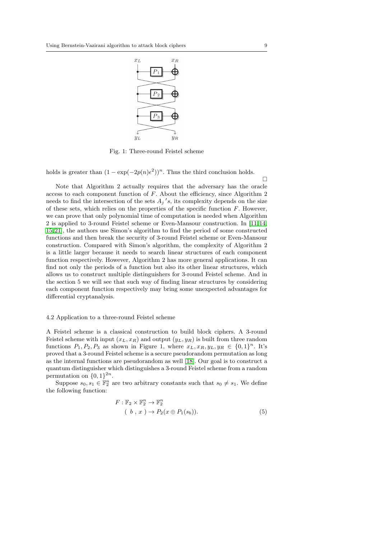

Fig. 1: Three-round Feistel scheme

holds is greater than  $(1 - \exp(-2p(n)\epsilon^2))^n$ . Thus the third conclusion holds.

Note that Algorithm 2 actually requires that the adversary has the oracle access to each component function of F. About the efficiency, since Algorithm 2 needs to find the intersection of the sets  $A_j$ 's, its complexity depends on the size of these sets, which relies on the properties of the specific function  $F$ . However, we can prove that only polynomial time of computation is needed when Algorithm 2 is applied to 3-round Feistel scheme or Even-Mansour construction. In [\[11,](#page-21-5) [14,](#page-21-2) [15,](#page-21-3) [21\]](#page-21-4), the authors use Simon's algorithm to find the period of some constructed functions and then break the security of 3-round Feistel scheme or Even-Mansour construction. Compared with Simon's algorithm, the complexity of Algorithm 2 is a little larger because it needs to search linear structures of each component function respectively. However, Algorithm 2 has more general applications. It can find not only the periods of a function but also its other linear structures, which allows us to construct multiple distinguishers for 3-round Feistel scheme. And in the section 5 we will see that such way of finding linear structures by considering each component function respectively may bring some unexpected advantages for differential cryptanalysis.

# 4.2 Application to a three-round Feistel scheme

A Feistel scheme is a classical construction to build block ciphers. A 3-round Feistel scheme with input  $(x_L, x_R)$  and output  $(y_L, y_R)$  is built from three random functions  $P_1, P_2, P_3$  as shown in Figure 1, where  $x_L, x_R, y_L, y_R \in \{0, 1\}^n$ . It's proved that a 3-round Feistel scheme is a secure pseudorandom permutation as long as the internal functions are pseudorandom as well [\[18\]](#page-21-14). Our goal is to construct a quantum distinguisher which distinguishes a 3-round Feistel scheme from a random permutation on  $\{0,1\}^{2n}$ .

Suppose  $s_0, s_1 \in \mathbb{F}_2^n$  are two arbitrary constants such that  $s_0 \neq s_1$ . We define the following function:

$$
F: \mathbb{F}_2 \times \mathbb{F}_2^n \to \mathbb{F}_2^n
$$
  
(*b*, *x*)  $\to P_2(x \oplus P_1(s_b))$ . (5)

 $\Box$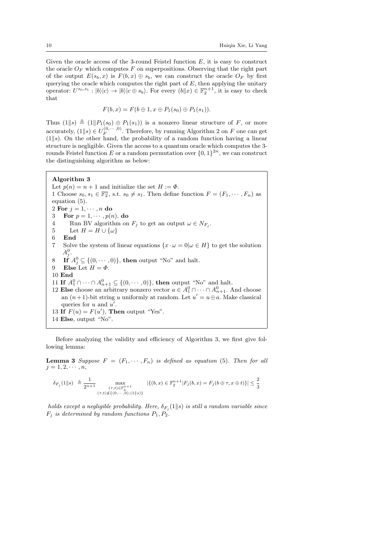Given the oracle access of the 3-round Feistel function  $E$ , it is easy to construct the oracle  $O_F$  which computes F on superpositions. Observing that the right part of the output  $E(s_b, x)$  is  $F(b, x) \oplus s_b$ , we can construct the oracle  $O_F$  by first querying the oracle which computes the right part of  $E$ , then applying the unitary operator:  $U^{s_0,s_1}:|b\rangle|c\rangle \rightarrow |b\rangle|c \oplus s_b$ . For every  $(b||x) \in \mathbb{F}_2^{n+1}$ , it is easy to check that

$$
F(b,x) = F(b \oplus 1, x \oplus P_1(s_0) \oplus P_1(s_1)).
$$

Thus  $(1||s) \triangleq (1||P_1(s_0) \oplus P_1(s_1))$  is a nonzero linear structure of F, or more accurately,  $(1||s) \in U_F^{(0,\dots,0)}$ . Therefore, by running Algorithm 2 on F one can get  $(1||s)$ . On the other hand, the probability of a random function having a linear structure is negligible. Given the access to a quantum oracle which computes the 3 rounds Feistel function E or a random permutation over  $\{0,1\}^{2n}$ , we can construct the distinguishing algorithm as below:

# Algorithm 3

Let  $p(n) = n + 1$  and initialize the set  $H := \Phi$ . 1 Choose  $s_0, s_1 \in \mathbb{F}_2^n$ , s.t.  $s_0 \neq s_1$ . Then define function  $F = (F_1, \dots, F_n)$  as equation (5). 2 For  $j = 1, \dots, n$  do 3 For  $p = 1, \dots, p(n)$ , do 4 Run BV algorithm on  $F_j$  to get an output  $\omega \in N_{F_j}$ . 5 Let  $H = H \cup {\omega}$ 6 End 7 Solve the system of linear equations  $\{x \cdot \omega = 0 | \omega \in H\}$  to get the solution  $A_j^0$ . 8 If  $A_j^0 \subseteq \{(0, \dots, 0)\}\)$ , then output "No" and halt. 9 Else Let  $H = \Phi$ . 10 End 11 If  $A_1^0 \cap \cdots \cap A_{n+1}^0 \subseteq \{(0, \cdots, 0)\}\)$ , then output "No" and halt. 12 Else choose an arbitrary nonzero vector  $a \in A_1^0 \cap \cdots \cap A_{n+1}^0$ . And choose an  $(n+1)$ -bit string u uniformly at random. Let  $u' = u \oplus a$ . Make classical queries for  $u$  and  $u'$ . 13 If  $F(u) = F(u')$ , Then output "Yes". 14 Else, output "No".

Before analyzing the validity and efficiency of Algorithm 3, we first give following lemma:

**Lemma 3** Suppose  $F = (F_1, \dots, F_n)$  is defined as equation (5). Then for all  $j = 1, 2, \cdots, n,$ 

$$
\delta_{F_j}(1||s) \triangleq \frac{1}{2^{n+1}} \max_{\substack{(\tau,t)\in\mathbb{F}_2^{n+1} \\ (\tau,t)\notin\{(0,\cdots,0), (1||s)\}}} |\{(b,x)\in\mathbb{F}_2^{n+1}| F_j(b,x)=F_j(b\oplus\tau,x\oplus t)\}| \leq \frac{2}{3}
$$

holds except a negligible probability. Here,  $\delta_{F_j}(1\|s)$  is still a random variable since  $F_j$  is determined by random functions  $P_1, P_2$ .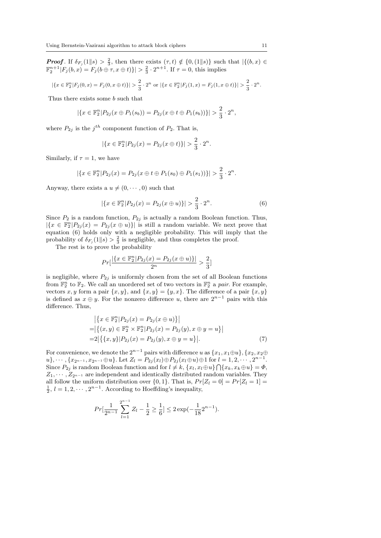**Proof.** If  $\delta_{F_j}(1||s) > \frac{2}{3}$ , then there exists  $(\tau, t) \notin \{0, (1||s)\}\$  such that  $|\{(b, x) \in$  $\mathbb{F}_2^{n+1}|F_j(b,x) = F_j(b \oplus \tau, x \oplus t)| > \frac{2}{3} \cdot 2^{n+1}$ . If  $\tau = 0$ , this implies

$$
|\{x \in \mathbb{F}_2^n | F_j(0, x) = F_j(0, x \oplus t)\}| > \frac{2}{3} \cdot 2^n \text{ or } |\{x \in \mathbb{F}_2^n | F_j(1, x) = F_j(1, x \oplus t)\}| > \frac{2}{3} \cdot 2^n.
$$

Thus there exists some b such that

$$
|\{x \in \mathbb{F}_2^n | P_{2j}(x \oplus P_1(s_b)) = P_{2j}(x \oplus t \oplus P_1(s_b))\}| > \frac{2}{3} \cdot 2^n,
$$

where  $P_{2j}$  is the  $j^{th}$  component function of  $P_2$ . That is,

$$
|\{x \in \mathbb{F}_2^n | P_{2j}(x) = P_{2j}(x \oplus t)\}| > \frac{2}{3} \cdot 2^n.
$$

Similarly, if  $\tau = 1$ , we have

$$
|\{x \in \mathbb{F}_2^n | P_{2j}(x) = P_{2j}(x \oplus t \oplus P_1(s_0) \oplus P_1(s_1))\}| > \frac{2}{3} \cdot 2^n.
$$

Anyway, there exists a  $u \neq (0, \dots, 0)$  such that

$$
|\{x \in \mathbb{F}_2^n | P_{2j}(x) = P_{2j}(x \oplus u)\}| > \frac{2}{3} \cdot 2^n. \tag{6}
$$

Since  $P_2$  is a random function,  $P_{2j}$  is actually a random Boolean function. Thus,  $|\{x \in \mathbb{F}_2^n | P_{2j}(x) = P_{2j}(x \oplus u)\}|$  is still a random variable. We next prove that equation (6) holds only with a negligible probability. This will imply that the probability of  $\delta_{F_j}(1||s) > \frac{2}{3}$  is negligible, and thus completes the proof.

The rest is to prove the probability

$$
Pr[\frac{|\{x \in \mathbb{F}_2^n | P_{2j}(x) = P_{2j}(x \oplus u)\}|}{2^n} > \frac{2}{3}]
$$

is negligible, where  $P_{2j}$  is uniformly chosen from the set of all Boolean functions from  $\mathbb{F}_2^n$  to  $\mathbb{F}_2$ . We call an unordered set of two vectors in  $\mathbb{F}_2^n$  a pair. For example, vectors x, y form a pair  $\{x, y\}$ , and  $\{x, y\} = \{y, x\}$ . The difference of a pair  $\{x, y\}$ is defined as  $x \oplus y$ . For the nonzero difference u, there are  $2^{n-1}$  pairs with this difference. Thus,

$$
\begin{aligned} & \left| \{ x \in \mathbb{F}_2^n | P_{2j}(x) = P_{2j}(x \oplus u) \} \right| \\ &= \left| \{ (x, y) \in \mathbb{F}_2^n \times \mathbb{F}_2^n | P_{2j}(x) = P_{2j}(y), x \oplus y = u \} \right| \\ &= 2 \left| \{ \{ x, y \} | P_{2j}(x) = P_{2j}(y), x \oplus y = u \} \right| . \end{aligned} \tag{7}
$$

For convenience, we denote the  $2^{n-1}$  pairs with difference u as  $\{x_1, x_1 \oplus u\}$ ,  $\{x_2, x_2 \oplus u\}$  $u$ },  $\cdots$ , { $x_{2^{n-1}}, x_{2^{n-1}} \oplus u$ }. Let  $Z_l = P_{2j}(x_l) \oplus P_{2j}(x_l \oplus u) \oplus 1$  for  $l = 1, 2, \cdots, 2^{n-1}$ . Since  $P_{2j}$  is random Boolean function and for  $l \neq k$ ,  $\{x_l, x_l \oplus u\} \cap \{x_k, x_k \oplus u\} = \Phi$ ,  $Z_1, \cdots, Z_{2^{n-1}}$  are independent and identically distributed random variables. They all follow the uniform distribution over  $\{0, 1\}$ . That is,  $Pr[Z_l = 0] = Pr[Z_l = 1]$  $\frac{1}{2}$ ,  $l = 1, 2, \cdots, 2^{n-1}$ . According to Hoeffding's inequality,

$$
Pr[\frac{1}{2^{n-1}}\sum_{l=1}^{2^{n-1}} Z_l - \frac{1}{2} \ge \frac{1}{6}] \le 2\exp(-\frac{1}{18}2^{n-1}).
$$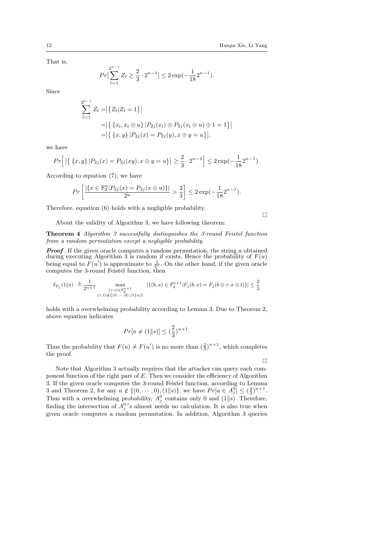That is,

$$
Pr[\sum_{l=1}^{2^{n-1}} Z_l \ge \frac{2}{3} \cdot 2^{n-1}] \le 2 \exp(-\frac{1}{18} 2^{n-1}).
$$

Since

$$
\sum_{l=1}^{2^{n-1}} Z_l = |\{Z_l | Z_l = 1\}|
$$
  
= |\{x\_l, x\_l \oplus u\} | P\_{2j}(x\_l) \oplus P\_{2j}(x\_l \oplus u) \oplus 1 = 1\}|  
= |\{x, y\} | P\_{2j}(x) = P\_{2j}(y), x \oplus y = u\}|,

we have

$$
Pr\Big[\left|\left\{ \{x,y\} \big| P_{2j}(x) = P_{2j}(xy), x \oplus y = u \right\}\right| \geq \frac{2}{3} \cdot 2^{n-1}\Big] \leq 2 \exp(-\frac{1}{18}2^{n-1}).
$$

According to equation (7), we have

$$
Pr\left[\frac{|\{x \in \mathbb{F}_2^n | P_{2j}(x) = P_{2j}(x \oplus u)\}|}{2^n} > \frac{2}{3}\right] \leq 2\exp(-\frac{1}{18}2^{n-1}).
$$

Therefore, equation (6) holds with a negligible probability.

About the validity of Algorithm 3, we have following theorem:

Theorem 4 Algorithm 3 successfully distinguishes the 3-round Feistel function from a random permutation except a negligible probability.

**Proof.** If the given oracle computes a random permutation, the string  $a$  obtained during executing Algorithm 3 is random if exists. Hence the probability of  $F(u)$ being equal to  $F(u')$  is approximate to  $\frac{1}{2^n}$ . On the other hand, if the given oracle computes the 3-round Feistel function, then

$$
\delta_{F_j}(1||s) \triangleq \frac{1}{2^{n+1}} \max_{\substack{(\tau,t)\in \mathbb{F}_2^{n+1} \\ (\tau,t)\notin \{(0,\cdots,0), (1||s)\}}} |\{(b,x)\in \mathbb{F}_2^{n+1}| F_j(b,x) = F_j(b\oplus \tau, x\oplus t)\}| \leq \frac{2}{3}
$$

holds with a overwhelming probability according to Lemma 3. Due to Theorem 2, above equation indicates

$$
Pr[a \neq (1||s)] \leq (\frac{2}{3})^{n+1}.
$$

Thus the probability that  $F(u) \neq F(u')$  is no more than  $(\frac{2}{3})^{n+1}$ , which completes the proof.

 $\Box$ 

 $\Box$ 

Note that Algorithm 3 actually requires that the attacker can query each component function of the right part of  $E$ . Then we consider the efficiency of Algorithm 3. If the given oracle computes the 3-round Feistel function, according to Lemma 3 and Theorem 2, for any  $a \notin \{(0, \dots, 0), (1||s)\}\)$ , we have  $Pr[a \in A_j^0] \leq (\frac{2}{3})^{n+1}$ . Thus with a overwhelming probability,  $A_j^0$  contains only 0 and (1||s). Therefore, finding the intersection of  $A_j^0$ 's almost needs no calculation. It is also true when given oracle computes a random permutation. In addition, Algorithm 3 queries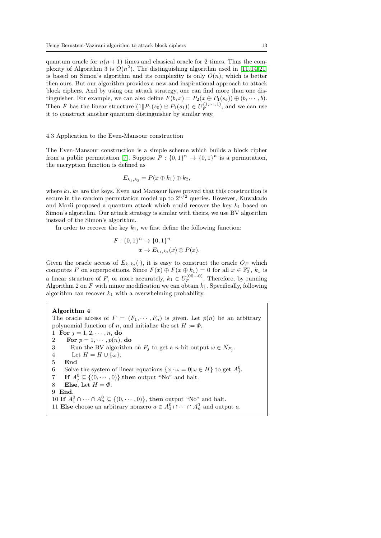quantum oracle for  $n(n + 1)$  times and classical oracle for 2 times. Thus the complexity of Algorithm 3 is  $O(n^2)$ . The distinguishing algorithm used in [\[11,](#page-21-5) [14,](#page-21-2) [21\]](#page-21-4) is based on Simon's algorithm and its complexity is only  $O(n)$ , which is better then ours. But our algorithm provides a new and inspirational approach to attack block ciphers. And by using our attack strategy, one can find more than one distinguisher. For example, we can also define  $F(b, x) = P_2(x \oplus P_1(s_b)) \oplus (b, \dots, b).$ Then F has the linear structure  $(1||P_1(s_0) \oplus P_1(s_1)) \in U_F^{(1,\cdots,1)}$ , and we can use it to construct another quantum distinguisher by similar way.

# 4.3 Application to the Even-Mansour construction

The Even-Mansour construction is a simple scheme which builds a block cipher from a public permutation [\[7\]](#page-20-5). Suppose  $P: \{0,1\}^n \to \{0,1\}^n$  is a permutation, the encryption function is defined as

$$
E_{k_1,k_2}=P(x\oplus k_1)\oplus k_2,
$$

where  $k_1, k_2$  are the keys. Even and Mansour have proved that this construction is secure in the random permutation model up to  $2^{n/2}$  queries. However, Kuwakado and Morii proposed a quantum attack which could recover the key  $k_1$  based on Simon's algorithm. Our attack strategy is similar with theirs, we use BV algorithm instead of the Simon's algorithm.

In order to recover the key  $k_1$ , we first define the following function:

$$
F: \{0,1\}^n \to \{0,1\}^n
$$
  

$$
x \to E_{k_1,k_2}(x) \oplus P(x).
$$

Given the oracle access of  $E_{k_1k_2}(\cdot)$ , it is easy to construct the oracle  $O_F$  which computes F on superpositions. Since  $F(x) \oplus F(x \oplus k_1) = 0$  for all  $x \in \mathbb{F}_2^n$ ,  $k_1$  is a linear structure of F, or more accurately,  $k_1 \in U_F^{(00\cdots0)}$ . Therefore, by running Algorithm 2 on  $F$  with minor modification we can obtain  $k_1$ . Specifically, following algorithm can recover  $k_1$  with a overwhelming probability.

Algorithm 4 The oracle access of  $F = (F_1, \dots, F_n)$  is given. Let  $p(n)$  be an arbitrary polynomial function of n, and initialize the set  $H := \Phi$ . 1 For  $j = 1, 2, \dots, n$ , do 2 **For**  $p = 1, \dots, p(n)$ , do 3 Run the BV algorithm on  $F_j$  to get a *n*-bit output  $\omega \in N_{F_j}$ . 4 Let  $H = H \cup \{\omega\}.$ 5 End 6 Solve the system of linear equations  $\{x \cdot \omega = 0 | \omega \in H\}$  to get  $A_j^0$ . 7 If  $A_j^0 \subseteq \{(0, \dots, 0)\}\text{,}$  then output "No" and halt. 8 Else, Let  $H = \Phi$ . 9 End. 10 If  $A_1^0 \cap \cdots \cap A_n^0 \subseteq \{(0, \cdots, 0)\}\)$ , then output "No" and halt. 11 Else choose an arbitrary nonzero  $a \in A_1^0 \cap \cdots \cap A_n^0$  and output a.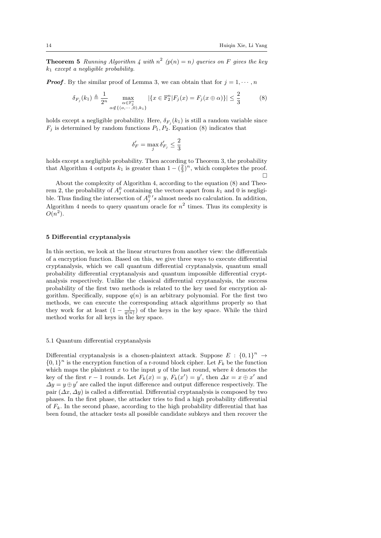**Theorem 5** Running Algorithm 4 with  $n^2$  ( $p(n) = n$ ) queries on F gives the key  $k_1$  except a negligible probability.

**Proof.** By the similar proof of Lemma 3, we can obtain that for  $j = 1, \dots, n$ 

$$
\delta_{F_j}(k_1) \triangleq \frac{1}{2^n} \max_{\substack{\alpha \in \mathbb{F}_2^n \\ \alpha \notin \{ (\alpha, \cdots, 0), k_1 \}}} |\{ x \in \mathbb{F}_2^n | F_j(x) = F_j(x \oplus \alpha) \}| \le \frac{2}{3}
$$
(8)

holds except a negligible probability. Here,  $\delta_{F_j}(k_1)$  is still a random variable since  $F_j$  is determined by random functions  $P_1, P_2$ . Equation (8) indicates that

$$
\delta'_F = \max_j \delta'_{F_j} \le \frac{2}{3}
$$

holds except a negligible probability. Then according to Theorem 3, the probability that Algorithm 4 outputs  $k_1$  is greater than  $1 - (\frac{2}{3})^n$ , which completes the proof.  $\Box$ 

About the complexity of Algorithm 4, according to the equation (8) and Theorem 2, the probability of  $A_j^0$  containing the vectors apart from  $k_1$  and 0 is negligible. Thus finding the intersection of  $A_j^0$ 's almost needs no calculation. In addition, Algorithm 4 needs to query quantum oracle for  $n^2$  times. Thus its complexity is  $O(n^2)$ .

# 5 Differential cryptanalysis

In this section, we look at the linear structures from another view: the differentials of a encryption function. Based on this, we give three ways to execute differential cryptanalysis, which we call quantum differential cryptanalysis, quantum small probability differential cryptanalysis and quantum impossible differential cryptanalysis respectively. Unlike the classical differential cryptanalysis, the success probability of the first two methods is related to the key used for encryption algorithm. Specifically, suppose  $q(n)$  is an arbitrary polynomial. For the first two methods, we can execute the corresponding attack algorithms properly so that they work for at least  $(1 - \frac{1}{q(n)})$  of the keys in the key space. While the third method works for all keys in the key space.

# 5.1 Quantum differential cryptanalysis

Differential cryptanalysis is a chosen-plaintext attack. Suppose  $E: \{0,1\}^n \rightarrow$  $\{0,1\}^n$  is the encryption function of a r-round block cipher. Let  $F_k$  be the function which maps the plaintext  $x$  to the input  $y$  of the last round, where  $k$  denotes the key of the first  $r-1$  rounds. Let  $F_k(x) = y$ ,  $F_k(x') = y'$ , then  $\Delta x = x \oplus x'$  and  $\Delta y = y \oplus y'$  are called the input difference and output difference respectively. The pair  $(\Delta x, \Delta y)$  is called a differential. Differential cryptanalysis is composed by two phases. In the first phase, the attacker tries to find a high probability differential of  $F_k$ . In the second phase, according to the high probability differential that has been found, the attacker tests all possible candidate subkeys and then recover the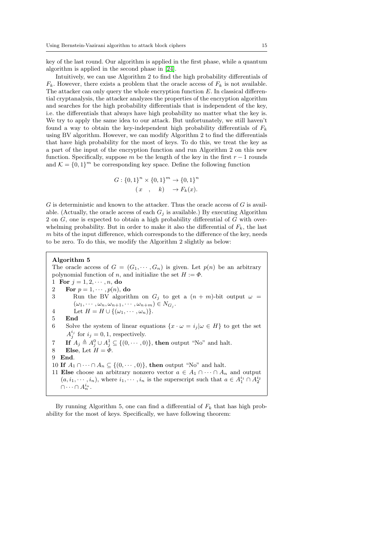key of the last round. Our algorithm is applied in the first phase, while a quantum algorithm is applied in the second phase in [\[24\]](#page-21-15).

Intuitively, we can use Algorithm 2 to find the high probability differentials of  $F_k$ . However, there exists a problem that the oracle access of  $F_k$  is not available. The attacker can only query the whole encryption function E. In classical differential cryptanalysis, the attacker analyzes the properties of the encryption algorithm and searches for the high probability differentials that is independent of the key, i.e. the differentials that always have high probability no matter what the key is. We try to apply the same idea to our attack. But unfortunately, we still haven't found a way to obtain the key-independent high probability differentials of  $F_k$ using BV algorithm. However, we can modify Algorithm 2 to find the differentials that have high probability for the most of keys. To do this, we treat the key as a part of the input of the encryption function and run Algorithm 2 on this new function. Specifically, suppose m be the length of the key in the first  $r - 1$  rounds and  $\mathcal{K} = \{0, 1\}^m$  be corresponding key space. Define the following function

$$
G: \{0,1\}^{n} \times \{0,1\}^{m} \to \{0,1\}^{n}
$$

$$
(x, k) \to F_{k}(x).
$$

 $G$  is deterministic and known to the attacker. Thus the oracle access of  $G$  is available. (Actually, the oracle access of each  $G_j$  is available.) By executing Algorithm 2 on G, one is expected to obtain a high probability differential of G with overwhelming probability. But in order to make it also the differential of  $F_k$ , the last m bits of the input difference, which corresponds to the difference of the key, needs to be zero. To do this, we modify the Algorithm 2 slightly as below:

## Algorithm 5

The oracle access of  $G = (G_1, \dots, G_n)$  is given. Let  $p(n)$  be an arbitrary polynomial function of n, and initialize the set  $H := \Phi$ . 1 For  $j = 1, 2, \dots, n$ , do 2 For  $p = 1, \cdots, p(n)$ , do 3 Run the BV algorithm on  $G_j$  to get a  $(n + m)$ -bit output  $\omega =$  $(\omega_1, \cdots, \omega_n, \omega_{n+1}, \cdots, \omega_{n+m}) \in N_{G_j}.$ 4 Let  $H = H \cup \{(\omega_1, \dots, \omega_n)\}.$ 5 End 6 Solve the system of linear equations  $\{x \cdot \omega = i_j | \omega \in H\}$  to get the set  $A_j^{i_j}$  for  $i_j = 0, 1$ , respectively. 7 If  $A_j \triangleq A_j^0 \cup A_j^1 \subseteq \{(0, \dots, 0)\}\)$ , then output "No" and halt. 8 Else, Let  $H = \Phi$ . 9 End. 10 If  $A_1 \cap \cdots \cap A_n \subseteq \{(0, \cdots, 0)\}\)$ , then output "No" and halt. 11 Else choose an arbitrary nonzero vector  $a \in A_1 \cap \cdots \cap A_n$  and output  $(a, i_1, \dots, i_n)$ , where  $i_1, \dots, i_n$  is the superscript such that  $a \in A_1^{i_1} \cap A_2^{i_2}$  $\cap \cdots \cap A_n^{i_n}.$ 

By running Algorithm 5, one can find a differential of  $F_k$  that has high probability for the most of keys. Specifically, we have following theorem: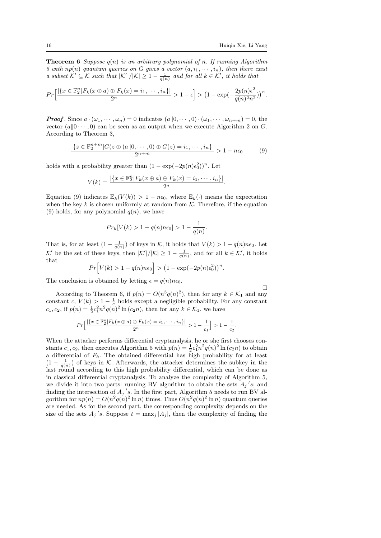$\Box$ 

**Theorem 6** Suppose  $q(n)$  is an arbitrary polynomial of n. If running Algorithm 5 with  $np(n)$  quantum queries on G gives a vector  $(a, i_1, \dots, i_n)$ , then there exist a subset  $\mathcal{K}' \subseteq \mathcal{K}$  such that  $|\mathcal{K}'|/|\mathcal{K}| \geq 1 - \frac{1}{q(n)}$  and for all  $k \in \mathcal{K}'$ , it holds that

$$
Pr\left[\frac{|\{x\in\mathbb{F}_2^n|F_k(x\oplus a)\oplus F_k(x)=i_1,\cdots,i_n\}|}{2^n}\right] > 1-\epsilon\right] > \left(1-\exp(-\frac{2p(n)\epsilon^2}{q(n)^2n^2})\right)^n.
$$

**Proof**. Since  $a \cdot (\omega_1, \dots, \omega_n) = 0$  indicates  $(a||0, \dots, 0) \cdot (\omega_1, \dots, \omega_{n+m}) = 0$ , the vector  $(a||0 \cdots, 0)$  can be seen as an output when we execute Algorithm 2 on G. According to Theorem 3,

$$
\frac{|\{z \in \mathbb{F}_2^{n+m} | G(z \oplus (a||0, \dots, 0) \oplus G(z) = i_1, \dots, i_n\}|}{2^{n+m}} > 1 - n\epsilon_0
$$
 (9)

holds with a probability greater than  $(1 - \exp(-2p(n)\epsilon_0^2))^n$ . Let

$$
V(k) = \frac{|\{x \in \mathbb{F}_2^n | F_k(x \oplus a) \oplus F_k(x) = i_1, \cdots, i_n\}|}{2^n}.
$$

Equation (9) indicates  $\mathbb{E}_k(V(k)) > 1 - n\epsilon_0$ , where  $\mathbb{E}_k(\cdot)$  means the expectation when the key k is chosen uniformly at random from  $K$ . Therefore, if the equation (9) holds, for any polynomial  $q(n)$ , we have

$$
Pr_k[V(k) > 1 - q(n)n\epsilon_0] > 1 - \frac{1}{q(n)}.
$$

That is, for at least  $(1 - \frac{1}{q(n)})$  of keys in K, it holds that  $V(k) > 1 - q(n)n\epsilon_0$ . Let  $\mathcal{K}'$  be the set of these keys, then  $|\mathcal{K}'|/|\mathcal{K}| \geq 1 - \frac{1}{q(n)}$ , and for all  $k \in \mathcal{K}'$ , it holds that

$$
Pr[V(k) > 1 - q(n)n\epsilon_0] > (1 - \exp(-2p(n)\epsilon_0^2))^n.
$$

The conclusion is obtained by letting  $\epsilon = q(n)n\epsilon_0$ .

According to Theorem 6, if  $p(n) = O(n^3q(n)^2)$ , then for any  $k \in \mathcal{K}_1$  and any constant c,  $V(k) > 1 - \frac{1}{c}$  holds except a negligible probability. For any constant  $c_1, c_2$ , if  $p(n) = \frac{1}{2}c_1^2 n^2 q(n)^2 \ln(c_2 n)$ , then for any  $k \in \mathcal{K}_1$ , we have

$$
Pr\Big[\frac{|\{x \in \mathbb{F}_2^n | F_k(x \oplus a) \oplus F_k(x) = i_1, \cdots, i_n\}|}{2^n} > 1 - \frac{1}{c_1}\Big] > 1 - \frac{1}{c_2}.
$$

When the attacker performs differential cryptanalysis, he or she first chooses constants  $c_1, c_2$ , then executes Algorithm 5 with  $p(n) = \frac{1}{2}c_1^2 n^2 q(n)^2 \ln(c_2 n)$  to obtain a differential of  $F_k$ . The obtained differential has high probability for at least  $(1 - \frac{1}{q(n)})$  of keys in K. Afterwards, the attacker determines the subkey in the last round according to this high probability differential, which can be done as in classical differential cryptanalysis. To analyze the complexity of Algorithm 5, we divide it into two parts: running BV algorithm to obtain the sets  $A_j$ 's; and finding the intersection of  $A_j$ 's. In the first part, Algorithm 5 needs to run BV algorithm for  $np(n) = O(n^2q(n)^2 \ln n)$  times. Thus  $O(n^2q(n)^2 \ln n)$  quantum queries are needed. As for the second part, the corresponding complexity depends on the size of the sets  $A_j$ 's. Suppose  $t = \max_j |A_j|$ , then the complexity of finding the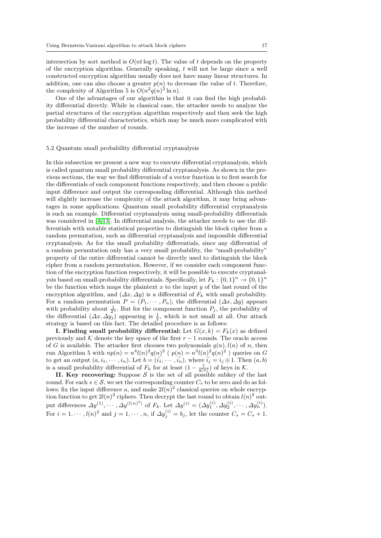intersection by sort method is  $O(nt \log t)$ . The value of t depends on the property of the encryption algorithm. Generally speaking, t will not be large since a well constructed encryption algorithm usually does not have many linear structures. In addition, one can also choose a greater  $p(n)$  to decrease the value of t. Therefore, the complexity of Algorithm 5 is  $O(n^2q(n)^2 \ln n)$ .

One of the advantages of our algorithm is that it can find the high probability differential directly. While in classical case, the attacker needs to analyze the partial structures of the encryption algorithm respectively and then seek the high probability differential characteristics, which may be much more complicated with the increase of the number of rounds.

#### 5.2 Quantum small probability differential cryptanalysis

In this subsection we present a new way to execute differential cryptanalysis, which is called quantum small probability differential cryptanalysis. As shown in the previous sections, the way we find differentials of a vector function is to first search for the differentials of each component functions respectively, and then choose a public input difference and output the corresponding differential. Although this method will slightly increase the complexity of the attack algorithm, it may bring advantages in some applications. Quantum small probability differential cryptanalysis is such an example. Differential cryptanalysis using small-probability differentials was considered in [\[4,](#page-20-6) [13\]](#page-21-16). In differential analysis, the attacker needs to use the differentials with notable statistical properties to distinguish the block cipher from a random permutation, such as differential cryptanalysis and impossible differential cryptanalysis. As for the small probability differentials, since any differential of a random permutation only has a very small probability, the "small-probability" property of the entire differential cannot be directly used to distinguish the block cipher from a random permutation. However, if we consider each component function of the encryption function respectively, it will be possible to execute cryptanalysis based on small-probability differentials. Specifically, let  $F_k: \{0,1\}^n \to \{0,1\}^n$ be the function which maps the plaintext  $x$  to the input  $y$  of the last round of the encryption algorithm, and  $(\Delta x, \Delta y)$  is a differential of  $F_k$  with small probability. For a random permutation  $P = (P_1, \dots, P_n)$ , the differential  $(\Delta x, \Delta y)$  appears with probability about  $\frac{1}{2^n}$ . But for the component function  $P_j$ , the probability of the differential  $(\Delta x, \Delta y_j)$  appearing is  $\frac{1}{2}$ , which is not small at all. Our attack strategy is based on this fact. The detailed procedure is as follows:

I. Finding small probability differential: Let  $G(x, k) = F_k(x)$  as defined previously and K denote the key space of the first  $r - 1$  rounds. The oracle access of G is available. The attacker first chooses two polynomials  $q(n)$ ,  $l(n)$  of n, then run Algorithm 5 with  $np(n) = n^4 l(n)^2 q(n)^2$  ( $p(n) = n^3 l(n)^2 q(n)^2$ ) queries on G to get an output  $(a, i_1, \dots, i_n)$ . Let  $b = (i_1, \dots, i_n)$ , where  $i_j = i_j \oplus 1$ . Then  $(a, b)$ is a small probability differential of  $F_k$  for at least  $(1 - \frac{1}{q(n)})$  of keys in K.

II. Key recovering: Suppose  $S$  is the set of all possible subkey of the last round. For each  $s \in \mathcal{S}$ , we set the corresponding counter  $C_s$  to be zero and do as follows: fix the input difference a, and make  $2l(n)^2$  classical queries on whole encryption function to get  $2l(n)^2$  ciphers. Then decrypt the last round to obtain  $l(n)^2$  output differences  $\Delta y^{(1)}, \cdots, \Delta y^{(l(n)^2)}$  of  $F_k$ . Let  $\Delta y^{(i)} = (\Delta y_1^{(i)}, \Delta y_2^{(i)}, \cdots, \Delta y_n^{(i)})$ . For  $i = 1, \dots, l(n)^2$  and  $j = 1, \dots, n$ , if  $\Delta y_j^{(i)} = b_j$ , let the counter  $C_s = C_s + 1$ .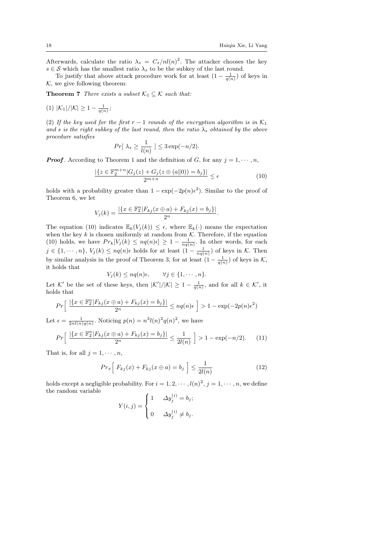Afterwards, calculate the ratio  $\lambda_s = C_s/nl(n)^2$ . The attacker chooses the key  $s \in \mathcal{S}$  which has the smallest ratio  $\lambda_s$  to be the subkey of the last round.

To justify that above attack procedure work for at least  $(1 - \frac{1}{q(n)})$  of keys in  $K$ , we give following theorem:

**Theorem 7** There exists a subset  $\mathcal{K}_1 \subseteq \mathcal{K}$  such that:

(1) 
$$
|\mathcal{K}_1|/|\mathcal{K}| \geq 1 - \frac{1}{q(n)};
$$

(2) If the key used for the first  $r - 1$  rounds of the encryption algorithm is in  $\mathcal{K}_1$ and s is the right subkey of the last round, then the ratio  $\lambda_s$  obtained by the above procedure satisfies

$$
Pr[\lambda_s \ge \frac{1}{l(n)}] \le 3\exp(-n/2).
$$

**Proof.** According to Theorem 1 and the definition of G, for any  $j = 1, \dots, n$ ,

$$
\frac{|\{z \in \mathbb{F}_2^{m+n} | G_j(z) + G_j(z \oplus (a||0)) = b_j\}|}{2^{m+n}} \le \epsilon
$$
\n(10)

holds with a probability greater than  $1 - \exp(-2p(n)\epsilon^2)$ . Similar to the proof of Theorem 6, we let

$$
V_j(k) = \frac{|\{x \in \mathbb{F}_2^n | F_{kj}(x \oplus a) + F_{kj}(x) = b_j\}|}{2^n}.
$$

The equation (10) indicates  $\mathbb{E}_k(V_i(k)) \leq \epsilon$ , where  $\mathbb{E}_k(\cdot)$  means the expectation when the key  $k$  is chosen uniformly at random from  $K$ . Therefore, if the equation (10) holds, we have  $Pr_k[V_j(k) \le nq(n)\epsilon] \ge 1 - \frac{1}{nq(n)}$ . In other words, for each  $j \in \{1, \dots, n\}, V_j(k) \le nq(n)\epsilon$  holds for at least  $(1 - \frac{1}{nq(n)})$  of keys in K. Then by similar analysis in the proof of Theorem 3, for at least  $(1 - \frac{1}{q(n)})$  of keys in K, it holds that

$$
V_j(k) \le nq(n)\epsilon, \qquad \forall j \in \{1, \cdots, n\}.
$$

Let K' be the set of these keys, then  $|K'|/|K| \geq 1 - \frac{1}{q(n)}$ , and for all  $k \in \mathcal{K}'$ , it holds that

$$
Pr\left[\frac{|\{x \in \mathbb{F}_2^n | F_{kj}(x \oplus a) + F_{kj}(x) = b_j\}|}{2^n} \le nq(n)\epsilon\right] > 1 - \exp(-2p(n)\epsilon^2)
$$

Let  $\epsilon = \frac{1}{2nl(n)q(n)}$ . Noticing  $p(n) = n^3 l(n)^2 q(n)^2$ , we have

$$
Pr\left[\frac{|\{x \in \mathbb{F}_2^n | F_{kj}(x \oplus a) + F_{kj}(x) = b_j\}|}{2^n} \le \frac{1}{2l(n)}\right] > 1 - \exp(-n/2). \tag{11}
$$

That is, for all  $j = 1, \dots, n$ ,

$$
Pr_x\left[F_{kj}(x) + F_{kj}(x \oplus a) = b_j\right] \le \frac{1}{2l(n)}\tag{12}
$$

holds except a negligible probability. For  $i = 1, 2, \cdots, l(n)^2, j = 1, \cdots, n$ , we define the random variable

$$
Y(i,j) = \begin{cases} 1 & \Delta y_j^{(i)} = b_j; \\ 0 & \Delta y_j^{(i)} \neq b_j. \end{cases}
$$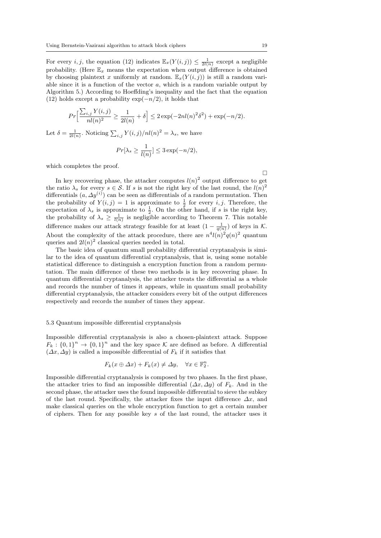For every *i*, *j*, the equation (12) indicates  $\mathbb{E}_x(Y(i,j)) \leq \frac{1}{2l(n)}$  except a negligible probability. (Here  $\mathbb{E}_x$  means the expectation when output difference is obtained by choosing plaintext x uniformly at random.  $\mathbb{E}_x(Y(i,j))$  is still a random variable since it is a function of the vector a, which is a random variable output by Algorithm 5.) According to Hoeffding's inequality and the fact that the equation (12) holds except a probability  $\exp(-n/2)$ , it holds that

$$
Pr\Big[\frac{\sum_{i,j} Y(i,j)}{nl(n)^2} \ge \frac{1}{2l(n)} + \delta\Big] \le 2\exp(-2nl(n)^2\delta^2) + \exp(-n/2).
$$

Let  $\delta = \frac{1}{2l(n)}$ . Noticing  $\sum_{i,j} Y(i,j)/nl(n)^2 = \lambda_s$ , we have

$$
Pr[\lambda_s \ge \frac{1}{l(n)}] \le 3 \exp(-n/2),
$$

which completes the proof.

 $\Box$ 

In key recovering phase, the attacker computes  $l(n)^2$  output difference to get the ratio  $\lambda_s$  for every  $s \in \mathcal{S}$ . If s is not the right key of the last round, the  $l(n)^2$ differentials  $(a, \Delta y^{(i)})$  can be seen as differentials of a random permutation. Then the probability of  $Y(i, j) = 1$  is approximate to  $\frac{1}{2}$  for every i, j. Therefore, the expectation of  $\lambda_s$  is approximate to  $\frac{1}{2}$ . On the other hand, if s is the right key, the probability of  $\lambda_s \geq \frac{1}{l(n)}$  is negligible according to Theorem 7. This notable difference makes our attack strategy feasible for at least  $(1 - \frac{1}{q(n)})$  of keys in K. About the complexity of the attack procedure, there are  $n^4 l(n)^2 q(n)^2$  quantum queries and  $2l(n)^2$  classical queries needed in total.

The basic idea of quantum small probability differential cryptanalysis is similar to the idea of quantum differential cryptanalysis, that is, using some notable statistical difference to distinguish a encryption function from a random permutation. The main difference of these two methods is in key recovering phase. In quantum differential cryptanalysis, the attacker treats the differential as a whole and records the number of times it appears, while in quantum small probability differential cryptanalysis, the attacker considers every bit of the output differences respectively and records the number of times they appear.

## 5.3 Quantum impossible differential cryptanalysis

Impossible differential cryptanalysis is also a chosen-plaintext attack. Suppose  $F_k: \{0,1\}^n \to \{0,1\}^n$  and the key space K are defined as before. A differential  $(\Delta x, \Delta y)$  is called a impossible differential of  $F_k$  if it satisfies that

$$
F_k(x \oplus \Delta x) + F_k(x) \neq \Delta y, \quad \forall x \in \mathbb{F}_2^n.
$$

Impossible differential cryptanalysis is composed by two phases. In the first phase, the attacker tries to find an impossible differential  $(\Delta x, \Delta y)$  of  $F_k$ . And in the second phase, the attacker uses the found impossible differential to sieve the subkey of the last round. Specifically, the attacker fixes the input difference  $\Delta x$ , and make classical queries on the whole encryption function to get a certain number of ciphers. Then for any possible key s of the last round, the attacker uses it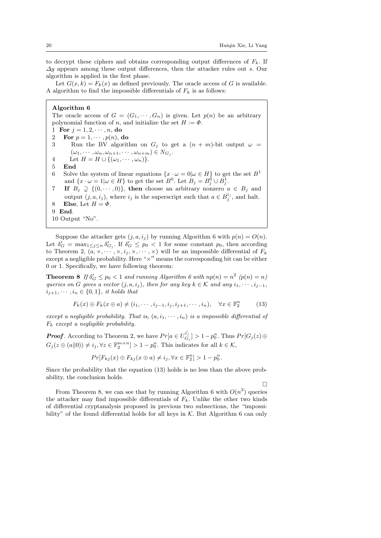to decrypt these ciphers and obtains corresponding output differences of  $F_k$ . If  $\Delta y$  appears among these output differences, then the attacker rules out s. Our algorithm is applied in the first phase.

Let  $G(x, k) = F_k(x)$  as defined previously. The oracle access of G is available. A algorithm to find the impossible differentials of  $F_k$  is as follows:

Algorithm 6 The oracle access of  $G = (G_1, \dots, G_n)$  is given. Let  $p(n)$  be an arbitrary polynomial function of n, and initialize the set  $H := \Phi$ . 1 For  $j = 1, 2, \dots, n$ , do 2 For  $p = 1, \dots, p(n)$ , do 3 Run the BV algorithm on  $G_j$  to get a  $(n + m)$ -bit output  $\omega =$  $(\omega_1, \cdots, \omega_n, \omega_{n+1}, \cdots, \omega_{n+m}) \in N_{G_j}.$ 4 Let  $H = H \cup \{(\omega_1, \dots, \omega_n)\}.$ 5 End 6 Solve the system of linear equations  $\{x \cdot \omega = 0 | \omega \in H\}$  to get the set  $B^1$ and  $\{x \cdot \omega = 1 | \omega \in H\}$  to get the set  $B^0$ . Let  $B_j = B_j^0 \cup B_j^1$ . 7 If  $B_j \supsetneq \{(0, \dots, 0)\}\$ , then choose an arbitrary nonzero  $a \in B_j$  and output  $(j, a, i_j)$ , where  $i_j$  is the superscript such that  $a \in B_j^{i_j}$ , and halt. 8 Else, Let  $H = \Phi$ . 9 End. 10 Output "No".

Suppose the attacker gets  $(j, a, i_j)$  by running Algorithm 6 with  $p(n) = O(n)$ . Let  $\delta'_G = \max_{1 \leq j \leq n} \delta'_{G_j}$ . If  $\delta'_G \leq p_0 < 1$  for some constant  $p_0$ , then according to Theorem 2,  $(a, \times, \dots, \times, i_j, \times, \dots, \times)$  will be an impossible differential of  $F_k$ except a negligible probability. Here " $\times$ " means the corresponding bit can be either 0 or 1. Specifically, we have following theorem:

**Theorem 8** If  $\delta'_G \leq p_0 < 1$  and running Algorithm 6 with  $np(n) = n^2$   $(p(n) = n)$ queries on G gives a vector  $(j, a, i_j)$ , then for any key  $k \in \mathcal{K}$  and any  $i_1, \dots, i_{j-1}$ ,  $i_{i+1}, \cdots, i_n \in \{0,1\}$ , it holds that

$$
F_k(x) \oplus F_k(x \oplus a) \neq (i_1, \cdots, i_{j-1}, i_j, i_{j+1}, \cdots, i_n), \quad \forall x \in \mathbb{F}_2^n \tag{13}
$$

except a negligible probability. That is,  $(a, i_1, \dots, i_n)$  is a impossible differential of  $F_k$  except a negligible probability.

**Proof**. According to Theorem 2, we have  $Pr[a \in U_G^{\bar{i}_j}]$  $\left\{ \begin{array}{l} \Gamma_{i,j} \ G_{j} \end{array} \right\} > 1-p_{0}^{n}.$  Thus  $Pr[G_{j}(z)\oplus z]$  $G_j(z \oplus (a||0)) \neq i_j, \forall z \in \mathbb{F}_2^{m+n} ] > 1 - p_0^n$ . This indicates for all  $k \in \mathcal{K}$ ,

$$
Pr[F_{kj}(x) \oplus F_{kj}(x \oplus a) \neq i_j, \forall x \in \mathbb{F}_2^n] > 1 - p_0^n.
$$

Since the probability that the equation (13) holds is no less than the above probability, the conclusion holds.

П

From Theorem 8, we can see that by running Algorithm 6 with  $O(n^2)$  queries the attacker may find impossible differentials of  $F_k$ . Unlike the other two kinds of differential cryptanalysis proposed in previous two subsections, the "impossibility" of the found differential holds for all keys in  $K$ . But Algorithm 6 can only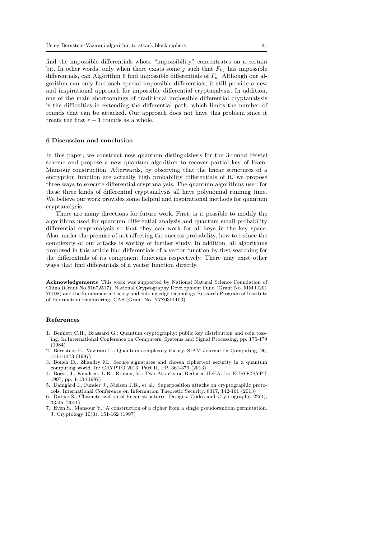find the impossible differentials whose "impossibility" concentrates on a certain bit. In other words, only when there exists some j such that  $F_{kj}$  has impossible differentials, can Algorithm 6 find impossible differentials of  $F_k$ . Although our algorithm can only find such special impossible differentials, it still provide a new and inspirational approach for impossible differential cryptanalysis. In addition, one of the main shortcomings of traditional impossible differential cryptanalysis is the difficulties in extending the differential path, which limits the number of rounds that can be attacked. Our approach does not have this problem since it treats the first  $r - 1$  rounds as a whole.

## 6 Discussion and conclusion

In this paper, we construct new quantum distinguishers for the 3-round Feistel scheme and propose a new quantum algorithm to recover partial key of Even-Mansour construction. Afterwards, by observing that the linear structures of a encryption function are actually high probability differentials of it, we propose three ways to execute differential cryptanalysis. The quantum algorithms used for these three kinds of differential cryptanalysis all have polynomial running time. We believe our work provides some helpful and inspirational methods for quantum cryptanalysis.

There are many directions for future work. First, is it possible to modify the algorithms used for quantum differential analysis and quantum small probability differential cryptanalysis so that they can work for all keys in the key space. Also, under the premise of not affecting the success probability, how to reduce the complexity of our attacks is worthy of further study. In addition, all algorithms proposed in this article find differentials of a vector function by first searching for the differentials of its component functions respectively. There may exist other ways that find differentials of a vector function directly.

Acknowledgements This work was supported by National Natural Science Foundation of China (Grant No.61672517), National Cryptography Development Fund (Grant No. MMJJ201 70108) and the Fundamental theory and cutting edge technology Research Program of Institute of Information Engineering, CAS (Grant No. Y7Z0301103).

# References

- <span id="page-20-0"></span>1. Bennett C.H., Brassard G.: Quantum cryptography: public key distribution and coin tossing. In:International Conference on Computers, Systems and Signal Processing, pp. 175-179 (1984)
- <span id="page-20-1"></span>2. Bernstein E., Vazirani U.: Quantum complexity theory. SIAM Journal on Computing. 26, 1411-1473 (1997)
- <span id="page-20-3"></span>3. Boneh D., Zhandry M.: Secure signatures and chosen ciphertext security in a quantum computing world. In: CRYPTO 2013, Part II, PP. 361-379 (2013)
- <span id="page-20-6"></span>4. Borst, J., Knudsen, L R., Rijmen, V.: Two Attacks on Reduced IDEA. In: EUROCRYPT 1997, pp. 1-13 (1997)
- <span id="page-20-4"></span>5. Damgård I., Funder J., Nielsen J.B., et al.: Superposition attacks on cryptographic protocols. International Conference on Information Theoretic Security. 8317, 142-161 (2013)
- <span id="page-20-2"></span>6. Dubuc S.: Characterization of linear structures. Designs, Codes and Cryptography. 22(1), 33-45 (2001)
- <span id="page-20-5"></span>7. Even S., Mansour Y.: A construction of a cipher from a single pseudorandom permutation. J. Cryptology 10(3), 151-162 (1997)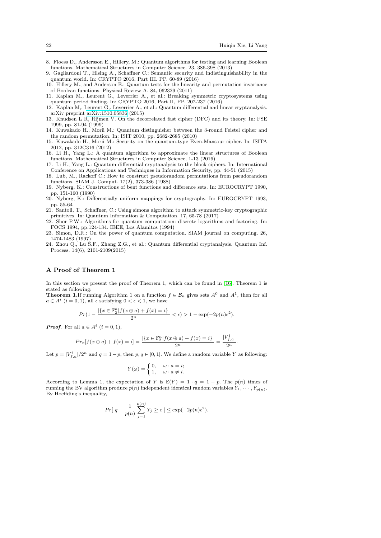.

- <span id="page-21-8"></span>8. Floess D., Andersson E., Hillery, M.: Quantum algorithms for testing and learning Boolean functions. Mathematical Structures in Computer Science. 23, 386-398 (2013)
- <span id="page-21-11"></span>9. Gagliardoni T., Hlsing A., Schaffner C.: Semantic security and indistinguishability in the quantum world. In: CRYPTO 2016, Part III. PP. 60-89 (2016)
- <span id="page-21-9"></span>10. Hillery M., and Anderson E.: Quantum tests for the linearity and permutation invariance of Boolean functions. Physical Review A. 84, 062329 (2011)
- <span id="page-21-5"></span>11. Kaplan M., Leurent G., Leverrier A., et al.: Breaking symmetric cryptosystems using quantum period finding. In: CRYPTO 2016, Part II, PP. 207-237 (2016)
- <span id="page-21-6"></span>12. Kaplan M,. Leurent G,. Leverrier A., et al.: Quantum differential and linear cryptanalysis. arXiv preprint [arXiv:1510.05836](http://arxiv.org/abs/1510.05836) (2015)
- <span id="page-21-16"></span>13. Knudsen L R, Rijmen V. On the decorrelated fast cipher (DFC) and its theory. In: FSE 1999, pp. 81-94 (1999)
- <span id="page-21-2"></span>14. Kuwakado H., Morii M.: Quantum distinguisher between the 3-round Feistel cipher and the random permutation. In: ISIT 2010, pp. 2682-2685 (2010)
- <span id="page-21-3"></span>15. Kuwakado H., Morii M.: Security on the quantum-type Even-Mansour cipher. In: ISITA 2012, pp. 312C316 (2012)
- <span id="page-21-10"></span>16. Li H., Yang L.: A quantum algorithm to approximate the linear structures of Boolean functions. Mathematical Structures in Computer Science, 1-13 (2016)
- <span id="page-21-7"></span>17. Li H., Yang L.: Quantum differential cryptanalysis to the block ciphers. In: International Conference on Applications and Techniques in Information Security, pp. 44-51 (2015)
- <span id="page-21-14"></span>18. Lub, M., Rackoff C.: How to construct pseudorandom permutations from pseudorandom functions. SIAM J. Comput. 17(2), 373-386 (1988)
- <span id="page-21-13"></span>19. Nyberg, K.: Constructions of bent functions and difference sets. In: EUROCRYPT 1990, pp. 151-160 (1990)
- <span id="page-21-12"></span>20. Nyberg, K.: Differentially uniform mappings for cryptography. In: EUROCRYPT 1993, pp. 55-64
- <span id="page-21-4"></span>21. Santoli, T., Schaffner, C.: Using simons algorithm to attack symmetric-key cryptographic primitives. In: Quantum Information & Computation. 17, 65-78 (2017)
- <span id="page-21-0"></span>22. Shor P.W.: Algorithms for quantum computation: discrete logarithms and factoring. In: FOCS 1994, pp.124-134. IEEE, Los Alamitos (1994)
- <span id="page-21-1"></span>23. Simon, D.R.: On the power of quantum computation. SIAM journal on computing. 26, 1474-1483 (1997)
- <span id="page-21-15"></span>24. Zhou Q., Lu S.F., Zhang Z.G., et al.: Quantum differential cryptanalysis. Quantum Inf. Process. 14(6), 2101-2109(2015)

# A Proof of Theorem 1

In this section we present the proof of Theorem 1, which can be found in [\[16\]](#page-21-10). Theorem 1 is stated as following:

**Theorem 1.**If running Algorithm 1 on a function  $f \in \mathcal{B}_n$  gives sets  $A^0$  and  $A^1$ , then for all  $a \in A^i$   $(i = 0, 1)$ , all  $\epsilon$  satisfying  $0 < \epsilon < 1$ , we have

$$
Pr(1 - \frac{|\{x \in \mathbb{F}_2^n | f(x \oplus a) + f(x) = i\}|}{2^n} < \epsilon) > 1 - \exp(-2p(n)\epsilon^2).
$$

**Proof.** For all  $a \in A^i$   $(i = 0, 1)$ ,

 $\overline{I}$ 

$$
Pr_x[f(x \oplus a) + f(x) = i] = \frac{|\{x \in \mathbb{F}_2^n | f(x \oplus a) + f(x) = i\}|}{2^n} = \frac{|V_{f,a}^i|}{2^n}
$$

Let  $p = |V_{f,a}^i|/2^n$  and  $q = 1-p$ , then  $p, q \in [0, 1]$ . We define a random variable Y as following:

$$
Y(\omega) = \begin{cases} 0, & \omega \cdot a = i; \\ 1, & \omega \cdot a \neq i. \end{cases}
$$

According to Lemma 1, the expectation of Y is  $\mathbb{E}(Y) = 1 \cdot q = 1 - p$ . The  $p(n)$  times of running the BV algorithm produce  $p(n)$  independent identical random variables  $Y_1, \dots, Y_{p(n)}$ . By Hoeffding's inequality,

$$
Pr[ q - \frac{1}{p(n)} \sum_{j=1}^{p(n)} Y_j \ge \epsilon ] \le \exp(-2p(n)\epsilon^2).
$$